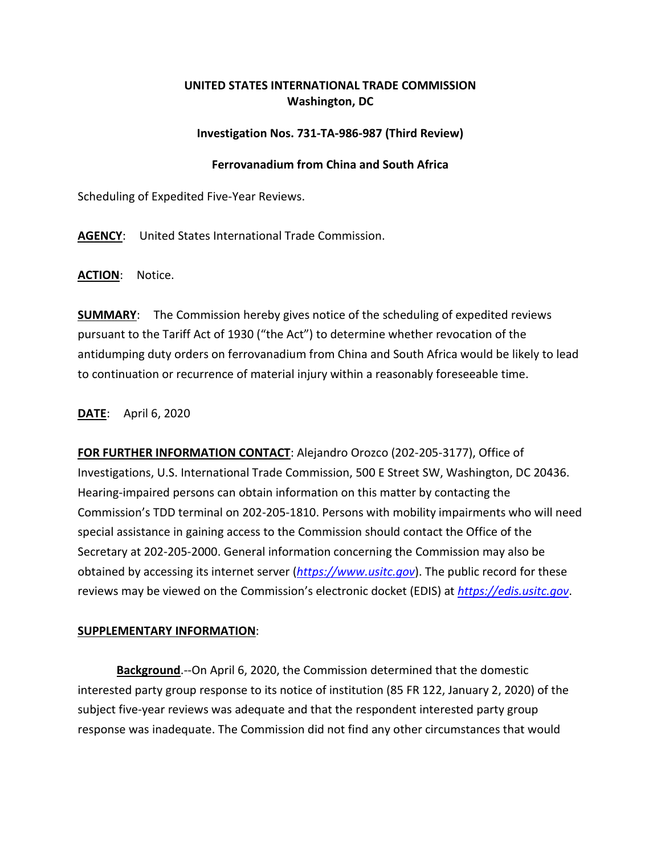## **UNITED STATES INTERNATIONAL TRADE COMMISSION Washington, DC**

## **Investigation Nos. 731-TA-986-987 (Third Review)**

## **Ferrovanadium from China and South Africa**

Scheduling of Expedited Five-Year Reviews.

**AGENCY**: United States International Trade Commission.

**ACTION**: Notice.

**SUMMARY**: The Commission hereby gives notice of the scheduling of expedited reviews pursuant to the Tariff Act of 1930 ("the Act") to determine whether revocation of the antidumping duty orders on ferrovanadium from China and South Africa would be likely to lead to continuation or recurrence of material injury within a reasonably foreseeable time.

**DATE**: April 6, 2020

**FOR FURTHER INFORMATION CONTACT**: Alejandro Orozco (202-205-3177), Office of Investigations, U.S. International Trade Commission, 500 E Street SW, Washington, DC 20436. Hearing-impaired persons can obtain information on this matter by contacting the Commission's TDD terminal on 202-205-1810. Persons with mobility impairments who will need special assistance in gaining access to the Commission should contact the Office of the Secretary at 202-205-2000. General information concerning the Commission may also be obtained by accessing its internet server (*[https://www.usitc.gov](https://www.usitc.gov/)*). The public record for these reviews may be viewed on the Commission's electronic docket (EDIS) at *[https://edis.usitc.gov](https://edis.usitc.gov/)*.

## **SUPPLEMENTARY INFORMATION**:

**Background**.--On April 6, 2020, the Commission determined that the domestic interested party group response to its notice of institution (85 FR 122, January 2, 2020) of the subject five-year reviews was adequate and that the respondent interested party group response was inadequate. The Commission did not find any other circumstances that would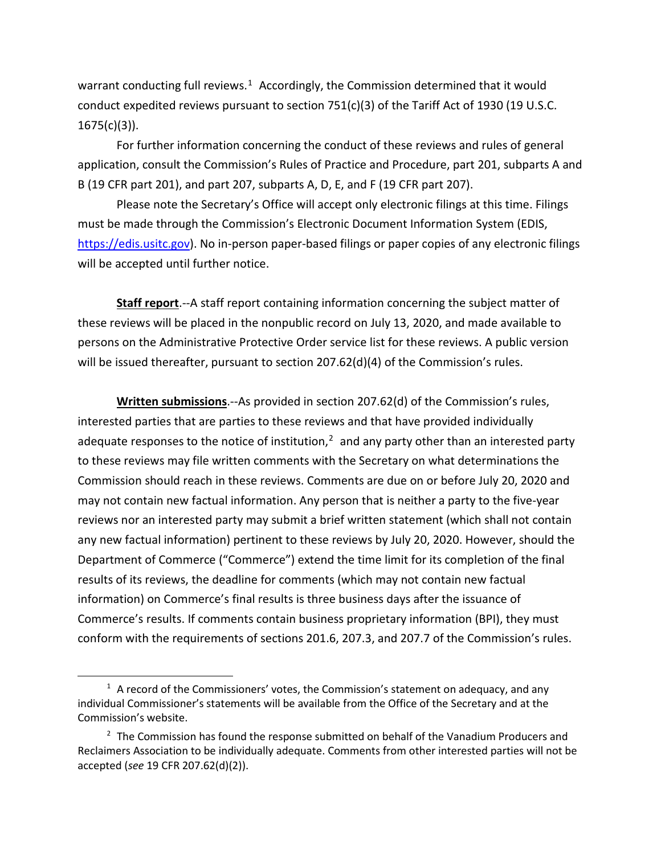warrant conducting full reviews. $1$  Accordingly, the Commission determined that it would conduct expedited reviews pursuant to section 751(c)(3) of the Tariff Act of 1930 (19 U.S.C. 1675(c)(3)).

For further information concerning the conduct of these reviews and rules of general application, consult the Commission's Rules of Practice and Procedure, part 201, subparts A and B (19 CFR part 201), and part 207, subparts A, D, E, and F (19 CFR part 207).

Please note the Secretary's Office will accept only electronic filings at this time. Filings must be made through the Commission's Electronic Document Information System (EDIS, [https://edis.usitc.gov\)](https://edis.usitc.gov/). No in-person paper-based filings or paper copies of any electronic filings will be accepted until further notice.

**Staff report**.--A staff report containing information concerning the subject matter of these reviews will be placed in the nonpublic record on July 13, 2020, and made available to persons on the Administrative Protective Order service list for these reviews. A public version will be issued thereafter, pursuant to section 207.62(d)(4) of the Commission's rules.

**Written submissions**.--As provided in section 207.62(d) of the Commission's rules, interested parties that are parties to these reviews and that have provided individually adequate responses to the notice of institution, $<sup>2</sup>$  $<sup>2</sup>$  $<sup>2</sup>$  and any party other than an interested party</sup> to these reviews may file written comments with the Secretary on what determinations the Commission should reach in these reviews. Comments are due on or before July 20, 2020 and may not contain new factual information. Any person that is neither a party to the five-year reviews nor an interested party may submit a brief written statement (which shall not contain any new factual information) pertinent to these reviews by July 20, 2020. However, should the Department of Commerce ("Commerce") extend the time limit for its completion of the final results of its reviews, the deadline for comments (which may not contain new factual information) on Commerce's final results is three business days after the issuance of Commerce's results. If comments contain business proprietary information (BPI), they must conform with the requirements of sections 201.6, 207.3, and 207.7 of the Commission's rules.

<span id="page-1-0"></span> $1$  A record of the Commissioners' votes, the Commission's statement on adequacy, and any individual Commissioner's statements will be available from the Office of the Secretary and at the Commission's website.

<span id="page-1-1"></span> $2$  The Commission has found the response submitted on behalf of the Vanadium Producers and Reclaimers Association to be individually adequate. Comments from other interested parties will not be accepted (*see* 19 CFR 207.62(d)(2)).